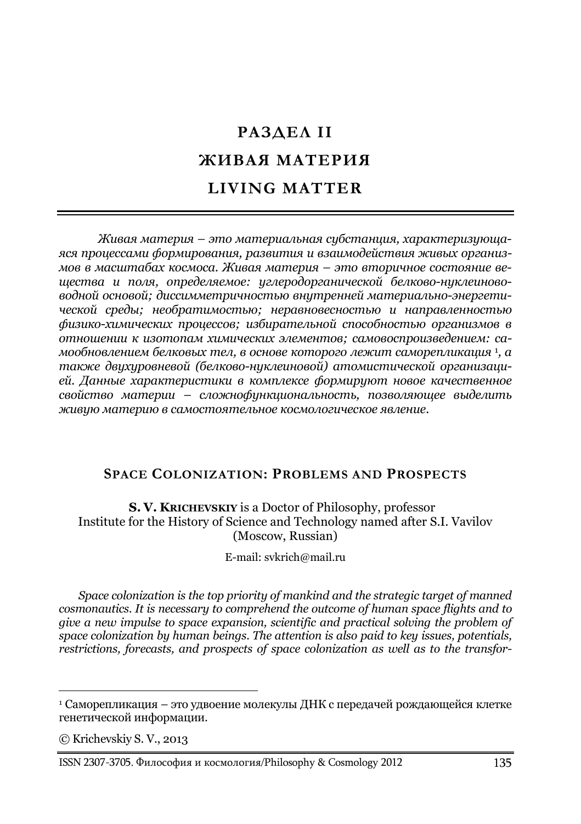# **PA3AEA II**

# **ЖИВАЯ МАТЕРИЯ**

# **LIVING MATTER**

*Живая материя – это материальная субстанция, характеризующаяся процессами формирования, развития и взаимодействия живых организмов в масштабах космоса. Живая материя – это вторичное состояние вещества и поля, определяемое: углеродорганической белково-нуклеинововодной основой; диссимметричностью внутренней материально-энергетической среды; необратимостью; неравновесностью и направленностью физико-химических процессов; избирательной способностью организмов в отношении к изотопам химических элементов; самовоспроизведением: самообновлением белковых тел, в основе которого лежит саморепликация* <sup>1</sup> *, а также двухуровневой (белково-нуклеиновой) атомистической организацией. Данные характеристики в комплексе формируют новое качественное свойство материи – сложнофункциональность, позволяющее выделить живую материю в самостоятельное космологическое явление.* 

### **SPACE COLONIZATION: PROBLEMS AND PROSPECTS**

#### **S. V. KRICHEVSKIY** is a Doctor of Philosophy, professor Institute for the History of Science and Technology named after S.I. Vavilov (Moscow, Russian)

#### E-mail: svkrich@mail.ru

*Space colonization is the top priority of mankind and the strategic target of manned cosmonautics. It is necessary to comprehend the outcome of human space flights and to give a new impulse to space expansion, scientific and practical solving the problem of space colonization by human beings. The attention is also paid to key issues, potentials, restrictions, forecasts, and prospects of space colonization as well as to the transfor-*

-

<sup>1</sup> Саморепликация – это удвоение молекулы ДНК с передачей рождающейся клетке генетической информации.

<sup>©</sup> Krichevskiy S. V., 2013

ISSN 2307-3705. Философия и космология/Philosophy & Cosmology 2012 135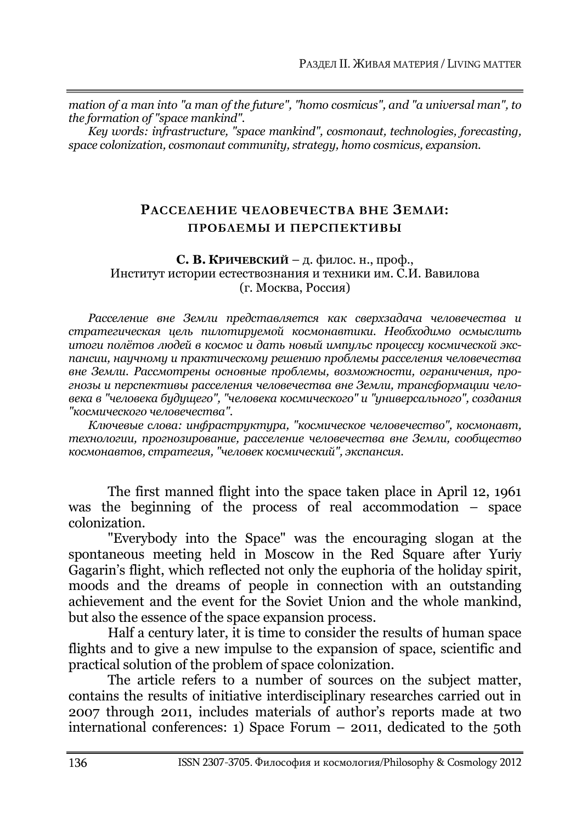*mation of a man into "a man of the future", "homo cosmicus", and "a universal man", to the formation of "space mankind".* 

*Key words: infrastructure, "space mankind", cosmonaut, technologies, forecasting, space colonization, cosmonaut community, strategy, homo cosmicus, expansion.* 

## **РАССЕЛЕНИЕ ЧЕЛОВЕЧЕСТВА ВНЕ ЗЕМЛИ: ПРОБЛЕМЫ И ПЕРСПЕКТИВЫ**

#### **С. В. КРИЧЕВСКИЙ** – д. филос. н., проф., Институт истории естествознания и техники им. С.И. Вавилова (г. Москва, Россия)

*Расселение вне Земли представляется как сверхзадача человечества и стратегическая цель пилотируемой космонавтики. Необходимо осмыслить итоги полётов людей в космос и дать новый импульс процессу космической экспансии, научному и практическому решению проблемы расселения человечества вне Земли. Рассмотрены основные проблемы, возможности, ограничения, прогнозы и перспективы расселения человечества вне Земли, трансформации человека в "человека будущего", "человека космического" и "универсального", создания "космического человечества".* 

*Ключевые слова: инфраструктура, "космическое человечество", космонавт, технологии, прогнозирование, расселение человечества вне Земли, сообщество космонавтов, стратегия, "человек космический", экспансия.* 

The first manned flight into the space taken place in April 12, 1961 was the beginning of the process of real accommodation – space colonization.

"Everybody into the Space" was the encouraging slogan at the spontaneous meeting held in Moscow in the Red Square after Yuriy Gagarin's flight, which reflected not only the euphoria of the holiday spirit, moods and the dreams of people in connection with an outstanding achievement and the event for the Soviet Union and the whole mankind, but also the essence of the space expansion process.

Half a century later, it is time to consider the results of human space flights and to give a new impulse to the expansion of space, scientific and practical solution of the problem of space colonization.

The article refers to a number of sources on the subject matter, contains the results of initiative interdisciplinary researches carried out in 2007 through 2011, includes materials of author's reports made at two international conferences: 1) Space Forum – 2011, dedicated to the 50th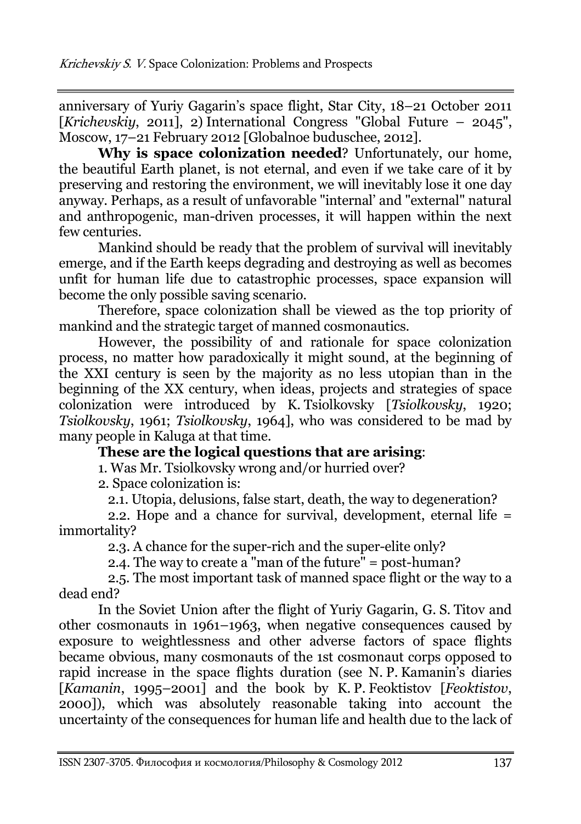anniversary of Yuriy Gagarin's space flight, Star City, 18–21 October 2011 [*Krichevskiy*, 2011], 2) International Congress "Global Future – 2045", Moscow, 17–21 February 2012 [Globalnoe buduschee, 2012].

**Why is space colonization needed**? Unfortunately, our home, the beautiful Earth planet, is not eternal, and even if we take care of it by preserving and restoring the environment, we will inevitably lose it one day anyway. Perhaps, as a result of unfavorable "internal' and "external" natural and anthropogenic, man-driven processes, it will happen within the next few centuries.

Mankind should be ready that the problem of survival will inevitably emerge, and if the Earth keeps degrading and destroying as well as becomes unfit for human life due to catastrophic processes, space expansion will become the only possible saving scenario.

Therefore, space colonization shall be viewed as the top priority of mankind and the strategic target of manned cosmonautics.

However, the possibility of and rationale for space colonization process, no matter how paradoxically it might sound, at the beginning of the XXI century is seen by the majority as no less utopian than in the beginning of the XX century, when ideas, projects and strategies of space colonization were introduced by K. Tsiolkovsky [*Tsiolkovsky*, 1920; *Tsiolkovsky*, 1961; *Tsiolkovsky*, 1964], who was considered to be mad by many people in Kaluga at that time.

# **These are the logical questions that are arising**:

1. Was Mr. Tsiolkovsky wrong and/or hurried over?

2. Space colonization is:

2.1. Utopia, delusions, false start, death, the way to degeneration?

2.2. Hope and a chance for survival, development, eternal life = immortality?

2.3. A chance for the super-rich and the super-elite only?

2.4. The way to create a "man of the future" = post-human?

2.5. The most important task of manned space flight or the way to a dead end?

In the Soviet Union after the flight of Yuriy Gagarin, G. S. Titov and other cosmonauts in 1961–1963, when negative consequences caused by exposure to weightlessness and other adverse factors of space flights became obvious, many cosmonauts of the 1st cosmonaut corps opposed to rapid increase in the space flights duration (see N. P. Kamanin's diaries [*Kamanin*, 1995–2001] and the book by K. P. Feoktistov [*Feoktistov*, 2000]), which was absolutely reasonable taking into account the uncertainty of the consequences for human life and health due to the lack of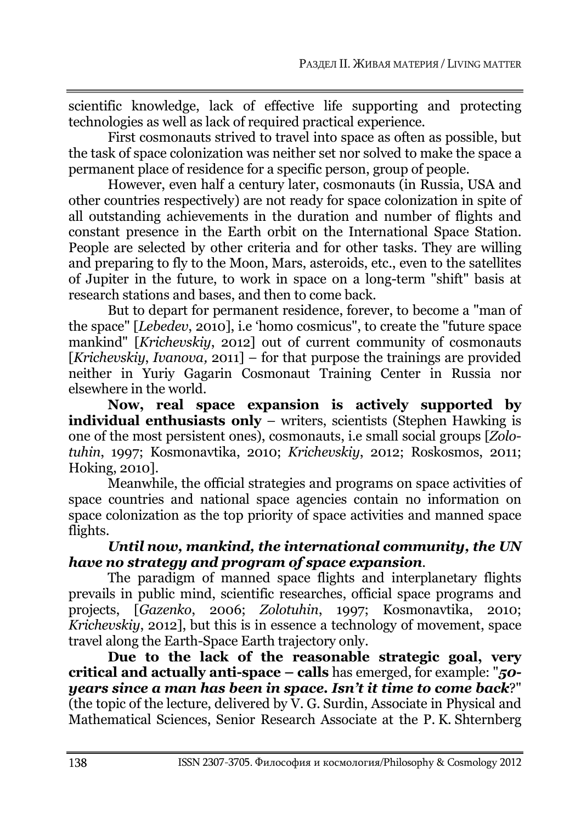scientific knowledge, lack of effective life supporting and protecting technologies as well as lack of required practical experience.

First cosmonauts strived to travel into space as often as possible, but the task of space colonization was neither set nor solved to make the space a permanent place of residence for a specific person, group of people.

However, even half a century later, cosmonauts (in Russia, USA and other countries respectively) are not ready for space colonization in spite of all outstanding achievements in the duration and number of flights and constant presence in the Earth orbit on the International Space Station. People are selected by other criteria and for other tasks. They are willing and preparing to fly to the Moon, Mars, asteroids, etc., even to the satellites of Jupiter in the future, to work in space on a long-term "shift" basis at research stations and bases, and then to come back.

But to depart for permanent residence, forever, to become a "man of the space" [*Lebedev*, 2010], i.e 'homo cosmicus", to create the "future space mankind" [*Krichevskiy*, 2012] out of current community of cosmonauts [*Krichevskiy*, *Ivanova,* 2011] – for that purpose the trainings are provided neither in Yuriy Gagarin Cosmonaut Training Center in Russia nor elsewhere in the world.

**Now, real space expansion is actively supported by individual enthusiasts only** – writers, scientists (Stephen Hawking is one of the most persistent ones), cosmonauts, i.e small social groups [*Zolotuhin*, 1997; Kosmonavtika, 2010; *Krichevskiy*, 2012; Roskosmos, 2011; Hoking, 2010].

Meanwhile, the official strategies and programs on space activities of space countries and national space agencies contain no information on space colonization as the top priority of space activities and manned space flights.

## *Until now, mankind, the international community, the UN have no strategy and program of space expansion*.

The paradigm of manned space flights and interplanetary flights prevails in public mind, scientific researches, official space programs and projects, [*Gazenko*, 2006; *Zolotuhin*, 1997; Kosmonavtika, 2010; *Krichevskiy*, 2012], but this is in essence a technology of movement, space travel along the Earth-Space Earth trajectory only.

**Due to the lack of the reasonable strategic goal, very critical and actually anti-space – calls** has emerged, for example: "*50 years since a man has been in space. Isn't it time to come back*?" (the topic of the lecture, delivered by  $\overline{V}$ , G. Surdin, Associate in Physical and Mathematical Sciences, Senior Research Associate at the P. K. Shternberg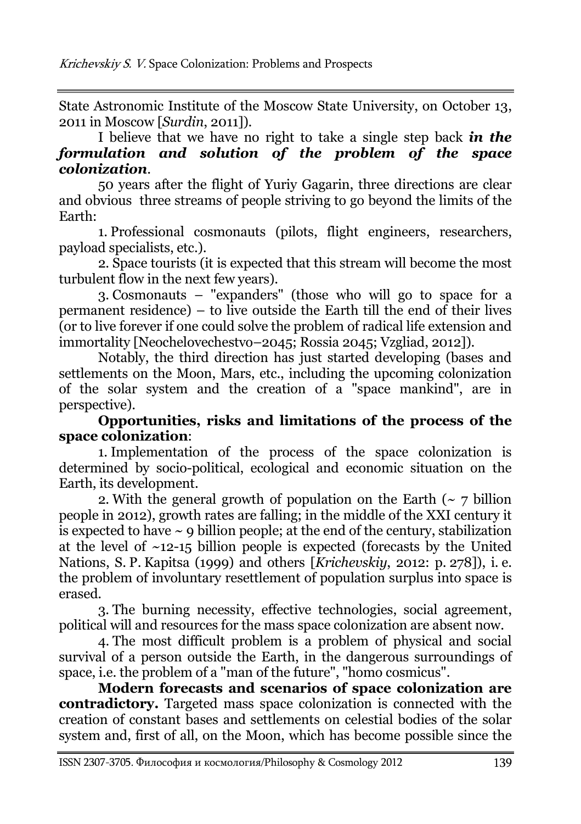State Astronomic Institute of the Moscow State University, on October 13, 2011 in Moscow [*Surdin*, 2011]).

I believe that we have no right to take a single step back *in the formulation and solution of the problem of the space colonization*.

50 years after the flight of Yuriy Gagarin, three directions are clear and obvious three streams of people striving to go beyond the limits of the Earth:

1. Professional cosmonauts (pilots, flight engineers, researchers, payload specialists, etc.).

2. Space tourists (it is expected that this stream will become the most turbulent flow in the next few years).

3. Cosmonauts – "expanders" (those who will go to space for a permanent residence) – to live outside the Earth till the end of their lives (or to live forever if one could solve the problem of radical life extension and immortality [Neochelovechestvo–2045; Rossia 2045; Vzgliad, 2012]).

Notably, the third direction has just started developing (bases and settlements on the Moon, Mars, etc., including the upcoming colonization of the solar system and the creation of a "space mankind", are in perspective).

**Opportunities, risks and limitations of the process of the space colonization**:

1. Implementation of the process of the space colonization is determined by socio-political, ecological and economic situation on the Earth, its development.

2. With the general growth of population on the Earth  $($   $\sim$  7 billion people in 2012), growth rates are falling; in the middle of the XXI century it is expected to have  $\sim$  9 billion people; at the end of the century, stabilization at the level of  $\sim$ 12-15 billion people is expected (forecasts by the United Nations, S. P. Kapitsa (1999) and others [*Krichevskiy*, 2012: p. 278]), i. e. the problem of involuntary resettlement of population surplus into space is erased.

3. The burning necessity, effective technologies, social agreement, political will and resources for the mass space colonization are absent now.

4. The most difficult problem is a problem of physical and social survival of a person outside the Earth, in the dangerous surroundings of space, i.e. the problem of a "man of the future", "homo cosmicus".

**Modern forecasts and scenarios of space colonization are contradictory.** Targeted mass space colonization is connected with the creation of constant bases and settlements on celestial bodies of the solar system and, first of all, on the Moon, which has become possible since the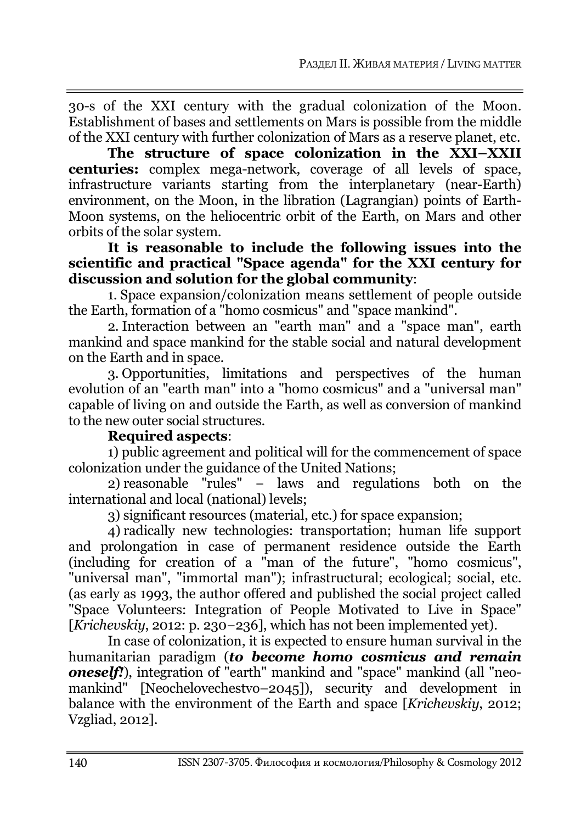30-s of the XXI century with the gradual colonization of the Moon. Establishment of bases and settlements on Mars is possible from the middle of the XXI century with further colonization of Mars as a reserve planet, etc.

**The structure of space colonization in the XXI–XXII centuries:** complex mega-network, coverage of all levels of space, infrastructure variants starting from the interplanetary (near-Earth) environment, on the Moon, in the libration (Lagrangian) points of Earth-Moon systems, on the heliocentric orbit of the Earth, on Mars and other orbits of the solar system.

**It is reasonable to include the following issues into the scientific and practical "Space agenda" for the XXI century for discussion and solution for the global community**:

1. Space expansion/colonization means settlement of people outside the Earth, formation of a "homo cosmicus" and "space mankind".

2. Interaction between an "earth man" and a "space man", earth mankind and space mankind for the stable social and natural development on the Earth and in space.

3. Opportunities, limitations and perspectives of the human evolution of an "earth man" into a "homo cosmicus" and a "universal man" capable of living on and outside the Earth, as well as conversion of mankind to the new outer social structures.

## **Required aspects**:

1) public agreement and political will for the commencement of space colonization under the guidance of the United Nations;

2) reasonable "rules" − laws and regulations both on the international and local (national) levels;

3) significant resources (material, etc.) for space expansion;

4) radically new technologies: transportation; human life support and prolongation in case of permanent residence outside the Earth (including for creation of a "man of the future", "homo cosmicus", "universal man", "immortal man"); infrastructural; ecological; social, etc. (as early as 1993, the author offered and published the social project called "Space Volunteers: Integration of People Motivated to Live in Space" [*Krichevskiy*, 2012: p. 230−236], which has not been implemented yet).

In case of colonization, it is expected to ensure human survival in the humanitarian paradigm (*to become homo cosmicus and remain oneself!*), integration of "earth" mankind and "space" mankind (all "neomankind" [Neochelovechestvo–2045]), security and development in balance with the environment of the Earth and space [*Krichevskiy*, 2012; Vzgliad, 2012].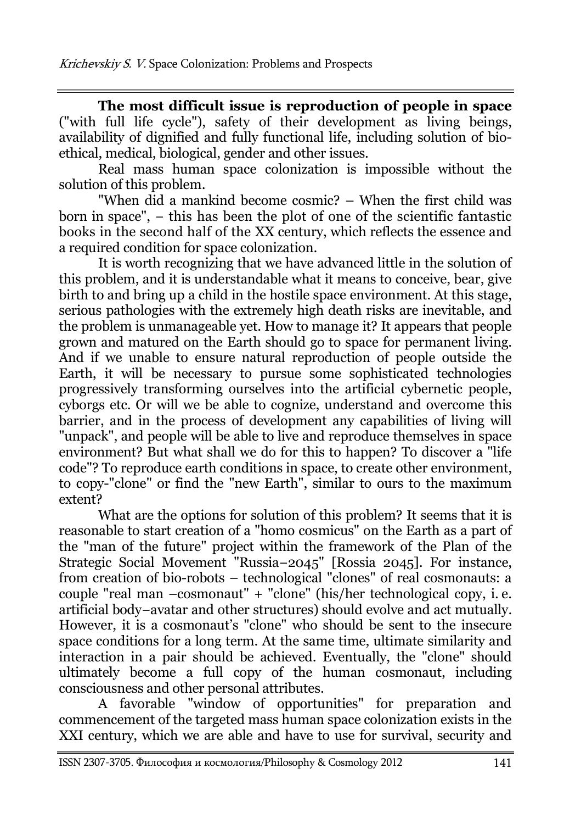**The most difficult issue is reproduction of people in space**  ("with full life cycle"), safety of their development as living beings, availability of dignified and fully functional life, including solution of bioethical, medical, biological, gender and other issues.

Real mass human space colonization is impossible without the solution of this problem.

"When did a mankind become cosmic? – When the first child was born in space", − this has been the plot of one of the scientific fantastic books in the second half of the XX century, which reflects the essence and a required condition for space colonization.

It is worth recognizing that we have advanced little in the solution of this problem, and it is understandable what it means to conceive, bear, give birth to and bring up a child in the hostile space environment. At this stage, serious pathologies with the extremely high death risks are inevitable, and the problem is unmanageable yet. How to manage it? It appears that people grown and matured on the Earth should go to space for permanent living. And if we unable to ensure natural reproduction of people outside the Earth, it will be necessary to pursue some sophisticated technologies progressively transforming ourselves into the artificial cybernetic people, cyborgs etc. Or will we be able to cognize, understand and overcome this barrier, and in the process of development any capabilities of living will "unpack", and people will be able to live and reproduce themselves in space environment? But what shall we do for this to happen? To discover a "life code"? To reproduce earth conditions in space, to create other environment, to copy-"clone" or find the "new Earth", similar to ours to the maximum extent?

What are the options for solution of this problem? It seems that it is reasonable to start creation of a "homo cosmicus" on the Earth as a part of the "man of the future" project within the framework of the Plan of the Strategic Social Movement "Russia−2045" [Rossia 2045]. For instance, from creation of bio-robots – technological "clones" of real cosmonauts: a couple "real man –cosmonaut" + "clone" (his/her technological copy, i. e. artificial body−avatar and other structures) should evolve and act mutually. However, it is a cosmonaut's "clone" who should be sent to the insecure space conditions for a long term. At the same time, ultimate similarity and interaction in a pair should be achieved. Eventually, the "clone" should ultimately become a full copy of the human cosmonaut, including consciousness and other personal attributes.

A favorable "window of opportunities" for preparation and commencement of the targeted mass human space colonization exists in the XXI century, which we are able and have to use for survival, security and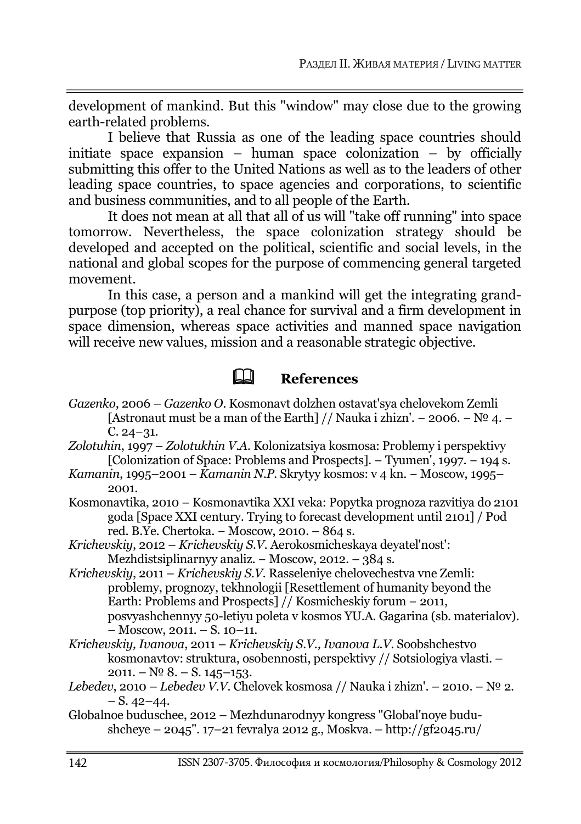development of mankind. But this "window" may close due to the growing earth-related problems.

I believe that Russia as one of the leading space countries should initiate space expansion – human space colonization – by officially submitting this offer to the United Nations as well as to the leaders of other leading space countries, to space agencies and corporations, to scientific and business communities, and to all people of the Earth.

It does not mean at all that all of us will "take off running" into space tomorrow. Nevertheless, the space colonization strategy should be developed and accepted on the political, scientific and social levels, in the national and global scopes for the purpose of commencing general targeted movement.

In this case, a person and a mankind will get the integrating grandpurpose (top priority), a real chance for survival and a firm development in space dimension, whereas space activities and manned space navigation will receive new values, mission and a reasonable strategic objective.

# **References**

- *Gazenko*, 2006 *Gazenko O.* Kosmonavt dolzhen ostavat'sya chelovekom Zemli [Astronaut must be a man of the Earth] // Nauka i zhizn'. − 2006. − № 4. − C. 24−31.
- *Zolotuhin*, 1997 *Zolotukhin V.A.* Kolonizatsiya kosmosa: Problemy i perspektivy [Colonization of Space: Problems and Prospects]. − Tyumen', 1997. − 194 s.
- *Kamanin*, 1995–2001 *Kamanin N.P.* Skrytyy kosmos: v 4 kn. − Moscow, 1995– 2001.
- Kosmonavtika, 2010 Kosmonavtika XXI veka: Popytka prognoza razvitiya do 2101 goda [Space XXI century. Trying to forecast development until 2101] / Pod red. B.Ye. Chertoka. − Moscow, 2010. – 864 s.
- *Krichevskiy*, 2012 *Krichevskiy S.V.* Aerokosmicheskaya deyatel'nost': Mezhdistsiplinarnyy analiz. − Moscow, 2012. – 384 s.
- *Krichevskiy*, 2011 *Krichevskiy S.V.* Rasseleniye chelovechestva vne Zemli: problemy, prognozy, tekhnologii [Resettlement of humanity beyond the Earth: Problems and Prospects] // Kosmicheskiy forum − 2011, posvyashchennyy 50-letiyu poleta v kosmos YU.A. Gagarina (sb. materialov). – Moscow, 2011. – S. 10–11.
- *Krichevskiy, Ivanova*, 2011 *Krichevskiy S.V., Ivanova L.V.* Soobshchestvo kosmonavtov: struktura, osobennosti, perspektivy // Sotsiologiya vlasti. –  $2011. - N98. - S. 145 - 153.$
- *Lebedev*, 2010 *Lebedev V.V.* Chelovek kosmosa // Nauka i zhizn'. 2010. № 2.  $-$  S. 42–44.

Globalnoe buduschee, 2012 – Mezhdunarodnyy kongress "Global'noye budushcheye – 2045". 17–21 fevralya 2012 g., Moskva. – http://gf2045.ru/